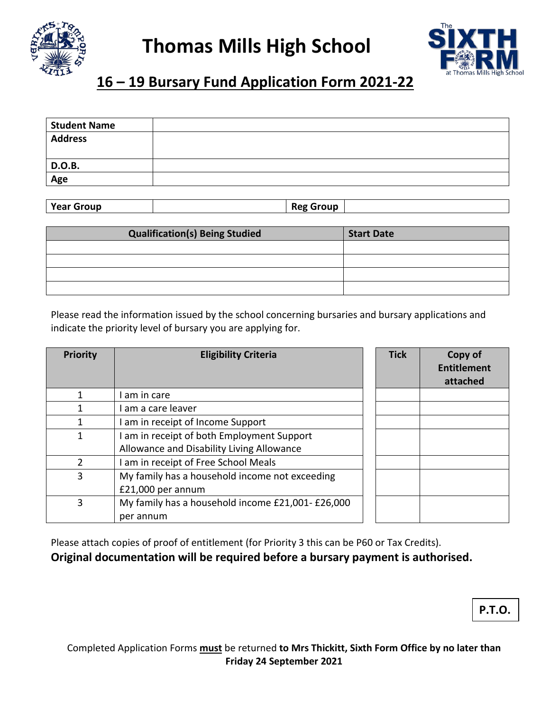



## **16 – 19 Bursary Fund Application Form 2021-22**

| <b>Student Name</b> |  |
|---------------------|--|
| <b>Address</b>      |  |
|                     |  |
| D.O.B.              |  |
| Age                 |  |
|                     |  |

**Year Group Reg Group** 

| <b>Qualification(s) Being Studied</b> | <b>Start Date</b> |
|---------------------------------------|-------------------|
|                                       |                   |
|                                       |                   |
|                                       |                   |
|                                       |                   |

Please read the information issued by the school concerning bursaries and bursary applications and indicate the priority level of bursary you are applying for.

| <b>Priority</b> | <b>Eligibility Criteria</b>                      | <b>Tick</b> | Copy of<br><b>Entitlement</b><br>attached |
|-----------------|--------------------------------------------------|-------------|-------------------------------------------|
|                 | am in care                                       |             |                                           |
|                 | I am a care leaver                               |             |                                           |
|                 | am in receipt of Income Support                  |             |                                           |
|                 | I am in receipt of both Employment Support       |             |                                           |
|                 | Allowance and Disability Living Allowance        |             |                                           |
| っ               | I am in receipt of Free School Meals             |             |                                           |
| 3               | My family has a household income not exceeding   |             |                                           |
|                 | £21,000 per annum                                |             |                                           |
| 3               | My family has a household income £21,001-£26,000 |             |                                           |
|                 | per annum                                        |             |                                           |

Please attach copies of proof of entitlement (for Priority 3 this can be P60 or Tax Credits). **Original documentation will be required before a bursary payment is authorised.** 

**P.T.O.**

Completed Application Forms **must** be returned **to Mrs Thickitt, Sixth Form Office by no later than Friday 24 September 2021**